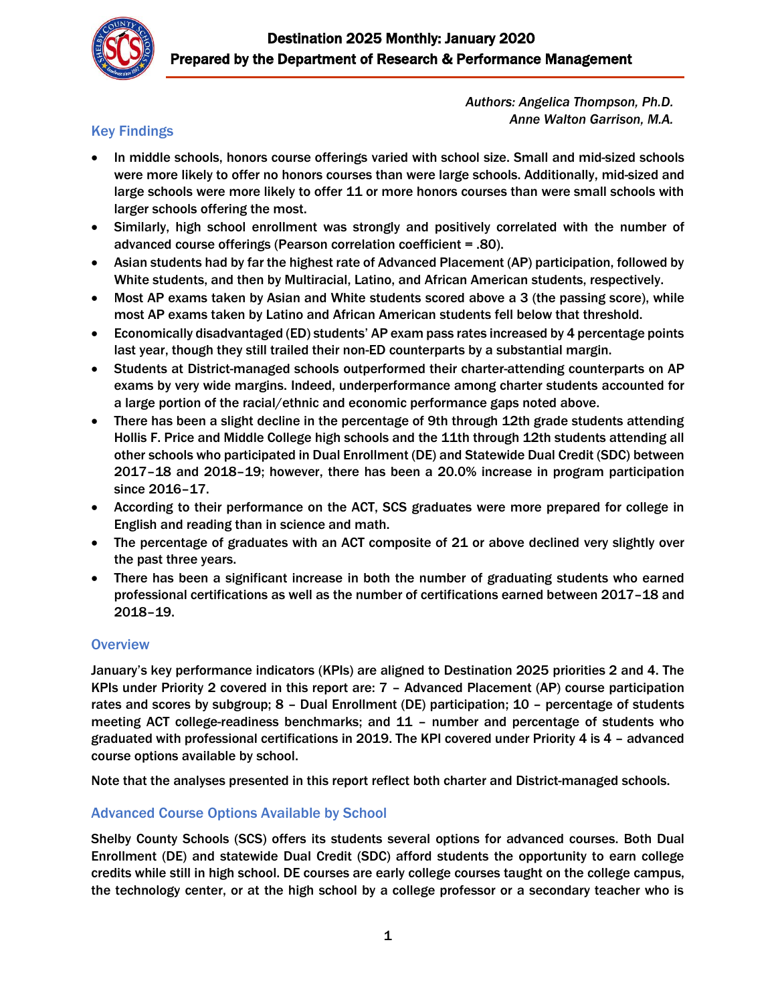

*Authors: Angelica Thompson, Ph.D. Anne Walton Garrison, M.A.*

## Key Findings

- In middle schools, honors course offerings varied with school size. Small and mid-sized schools were more likely to offer no honors courses than were large schools. Additionally, mid-sized and large schools were more likely to offer 11 or more honors courses than were small schools with larger schools offering the most.
- Similarly, high school enrollment was strongly and positively correlated with the number of advanced course offerings (Pearson correlation coefficient = .80).
- Asian students had by far the highest rate of Advanced Placement (AP) participation, followed by White students, and then by Multiracial, Latino, and African American students, respectively.
- Most AP exams taken by Asian and White students scored above a 3 (the passing score), while most AP exams taken by Latino and African American students fell below that threshold.
- Economically disadvantaged (ED) students' AP exam pass rates increased by 4 percentage points last year, though they still trailed their non-ED counterparts by a substantial margin.
- Students at District-managed schools outperformed their charter-attending counterparts on AP exams by very wide margins. Indeed, underperformance among charter students accounted for a large portion of the racial/ethnic and economic performance gaps noted above.
- There has been a slight decline in the percentage of 9th through 12th grade students attending Hollis F. Price and Middle College high schools and the 11th through 12th students attending all other schools who participated in Dual Enrollment (DE) and Statewide Dual Credit (SDC) between 2017–18 and 2018–19; however, there has been a 20.0% increase in program participation since 2016–17.
- According to their performance on the ACT, SCS graduates were more prepared for college in English and reading than in science and math.
- The percentage of graduates with an ACT composite of 21 or above declined very slightly over the past three years.
- There has been a significant increase in both the number of graduating students who earned professional certifications as well as the number of certifications earned between 2017–18 and 2018–19.

#### **Overview**

January's key performance indicators (KPIs) are aligned to Destination 2025 priorities 2 and 4. The KPIs under Priority 2 covered in this report are: 7 – Advanced Placement (AP) course participation rates and scores by subgroup; 8 – Dual Enrollment (DE) participation; 10 – percentage of students meeting ACT college-readiness benchmarks; and 11 – number and percentage of students who graduated with professional certifications in 2019. The KPI covered under Priority 4 is 4 – advanced course options available by school.

Note that the analyses presented in this report reflect both charter and District-managed schools.

## Advanced Course Options Available by School

Shelby County Schools (SCS) offers its students several options for advanced courses. Both Dual Enrollment (DE) and statewide Dual Credit (SDC) afford students the opportunity to earn college credits while still in high school. DE courses are early college courses taught on the college campus, the technology center, or at the high school by a college professor or a secondary teacher who is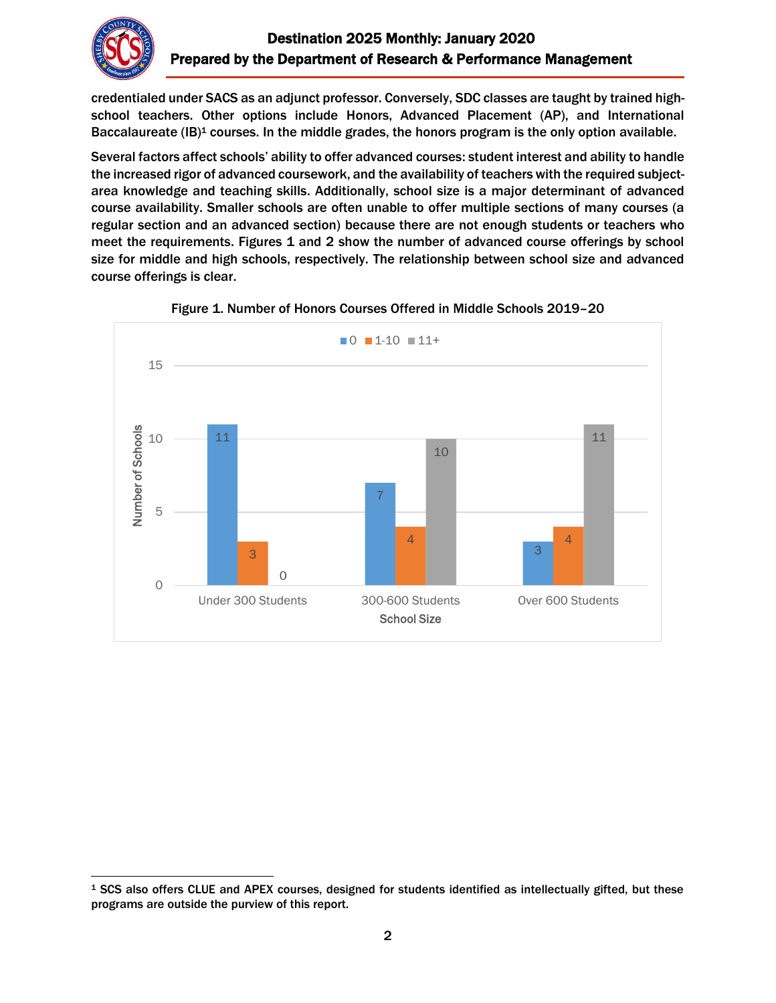

credentialed under SACS as an adjunct professor. Conversely, SDC classes are taught by trained highschool teachers. Other options include Honors, Advanced Placement (AP), and International Baccalaureate (IB)<sup>1</sup> courses. In the middle grades, the honors program is the only option available.

Several factors affect schools' ability to offer advanced courses: student interest and ability to handle the increased rigor of advanced coursework, and the availability of teachers with the required subjectarea knowledge and teaching skills. Additionally, school size is a major determinant of advanced course availability. Smaller schools are often unable to offer multiple sections of many courses (a regular section and an advanced section) because there are not enough students or teachers who meet the requirements. Figures 1 and 2 show the number of advanced course offerings by school size for middle and high schools, respectively. The relationship between school size and advanced course offerings is clear.





 $\overline{\phantom{a}}$ <sup>1</sup> SCS also offers CLUE and APEX courses, designed for students identified as intellectually gifted, but these programs are outside the purview of this report.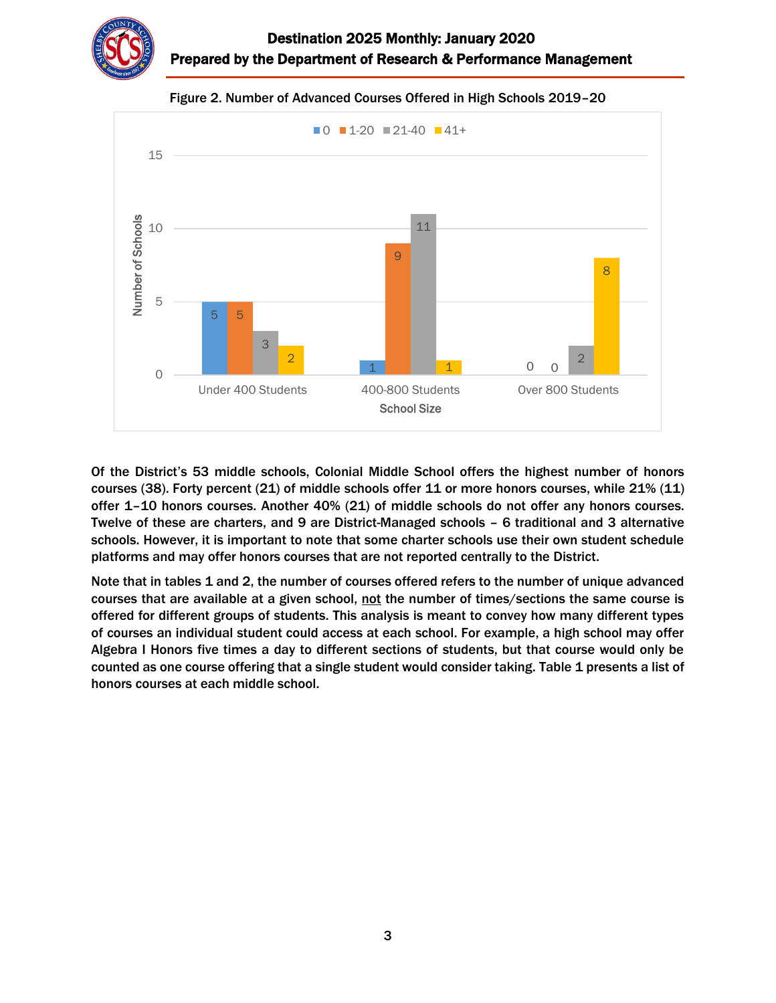



Figure 2. Number of Advanced Courses Offered in High Schools 2019–20

Of the District's 53 middle schools, Colonial Middle School offers the highest number of honors courses (38). Forty percent (21) of middle schools offer 11 or more honors courses, while 21% (11) offer 1–10 honors courses. Another 40% (21) of middle schools do not offer any honors courses. Twelve of these are charters, and 9 are District-Managed schools – 6 traditional and 3 alternative schools. However, it is important to note that some charter schools use their own student schedule platforms and may offer honors courses that are not reported centrally to the District.

Note that in tables 1 and 2, the number of courses offered refers to the number of unique advanced courses that are available at a given school, not the number of times/sections the same course is offered for different groups of students. This analysis is meant to convey how many different types of courses an individual student could access at each school. For example, a high school may offer Algebra I Honors five times a day to different sections of students, but that course would only be counted as one course offering that a single student would consider taking. Table 1 presents a list of honors courses at each middle school.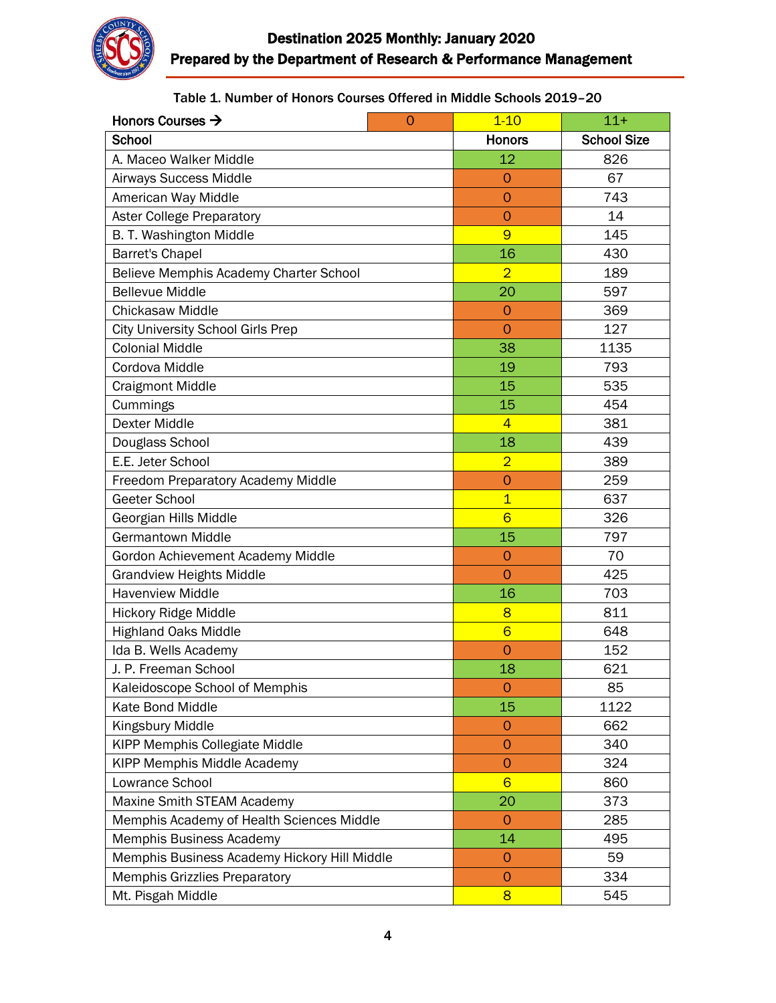

Table 1. Number of Honors Courses Offered in Middle Schools 2019–20

| Honors Courses $\rightarrow$<br>$\overline{0}$ | $1 - 10$        | $11 +$             |
|------------------------------------------------|-----------------|--------------------|
| School                                         | <b>Honors</b>   | <b>School Size</b> |
| A. Maceo Walker Middle                         | 12              | 826                |
| Airways Success Middle                         | $\overline{O}$  | 67                 |
| American Way Middle                            | $\overline{O}$  | 743                |
| <b>Aster College Preparatory</b>               | $\overline{O}$  | 14                 |
| B. T. Washington Middle                        | 9               | 145                |
| <b>Barret's Chapel</b>                         | 16              | 430                |
| Believe Memphis Academy Charter School         | $\overline{2}$  | 189                |
| <b>Bellevue Middle</b>                         | 20              | 597                |
| <b>Chickasaw Middle</b>                        | $\overline{O}$  | 369                |
| <b>City University School Girls Prep</b>       | $\overline{O}$  | 127                |
| <b>Colonial Middle</b>                         | 38              | 1135               |
| Cordova Middle                                 | 19              | 793                |
| <b>Craigmont Middle</b>                        | 15              | 535                |
| Cummings                                       | 15              | 454                |
| <b>Dexter Middle</b>                           | $\overline{4}$  | 381                |
| Douglass School                                | 18              | 439                |
| E.E. Jeter School                              | $\overline{2}$  | 389                |
| Freedom Preparatory Academy Middle             | $\overline{O}$  | 259                |
| Geeter School                                  | $\overline{1}$  | 637                |
| Georgian Hills Middle                          | $6\overline{6}$ | 326                |
| <b>Germantown Middle</b>                       | 15              | 797                |
| Gordon Achievement Academy Middle              | $\overline{O}$  | 70                 |
| <b>Grandview Heights Middle</b>                | $\overline{0}$  | 425                |
| <b>Havenview Middle</b>                        | 16              | 703                |
| Hickory Ridge Middle                           | 8               | 811                |
| <b>Highland Oaks Middle</b>                    | $6\overline{6}$ | 648                |
| Ida B. Wells Academy                           | $\overline{0}$  | 152                |
| J. P. Freeman School                           | 18              | 621                |
| Kaleidoscope School of Memphis                 | 0               | 85                 |
| Kate Bond Middle                               | 15              | 1122               |
| Kingsbury Middle                               | 0               | 662                |
| <b>KIPP Memphis Collegiate Middle</b>          | $\overline{O}$  | 340                |
| <b>KIPP Memphis Middle Academy</b>             | $\overline{O}$  | 324                |
| Lowrance School                                | $6\overline{6}$ | 860                |
| Maxine Smith STEAM Academy                     | 20              | 373                |
| Memphis Academy of Health Sciences Middle      | $\overline{0}$  | 285                |
| Memphis Business Academy                       | 14              | 495                |
| Memphis Business Academy Hickory Hill Middle   | $\overline{0}$  | 59                 |
| <b>Memphis Grizzlies Preparatory</b>           | $\overline{O}$  | 334                |
| Mt. Pisgah Middle                              | $\overline{8}$  | 545                |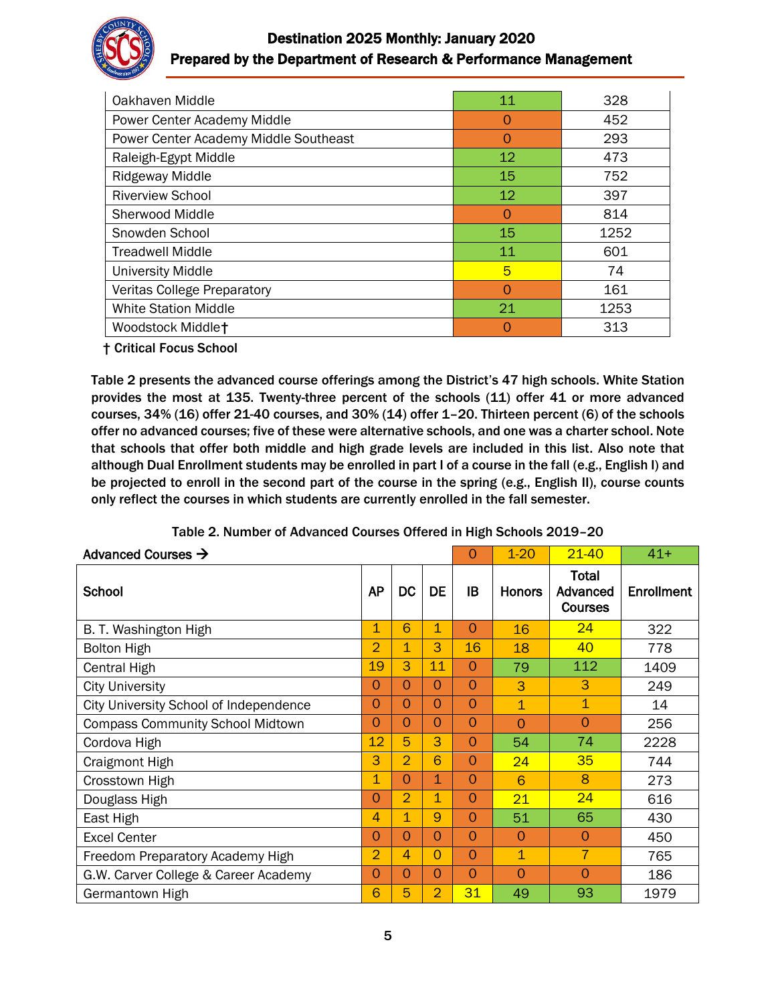

# Destination 2025 Monthly: January 2020 Prepared by the Department of Research & Performance Management

| Oakhaven Middle                       | 11 | 328  |
|---------------------------------------|----|------|
| Power Center Academy Middle           | O  | 452  |
| Power Center Academy Middle Southeast | Ω  | 293  |
| Raleigh-Egypt Middle                  | 12 | 473  |
| <b>Ridgeway Middle</b>                | 15 | 752  |
| <b>Riverview School</b>               | 12 | 397  |
| Sherwood Middle                       | O  | 814  |
| Snowden School                        | 15 | 1252 |
| <b>Treadwell Middle</b>               | 11 | 601  |
| <b>University Middle</b>              | 5  | 74   |
| <b>Veritas College Preparatory</b>    | Ω  | 161  |
| <b>White Station Middle</b>           | 21 | 1253 |
| Woodstock Middlet                     |    | 313  |

† Critical Focus School

Table 2 presents the advanced course offerings among the District's 47 high schools. White Station provides the most at 135. Twenty-three percent of the schools (11) offer 41 or more advanced courses, 34% (16) offer 21-40 courses, and 30% (14) offer 1–20. Thirteen percent (6) of the schools offer no advanced courses; five of these were alternative schools, and one was a charter school. Note that schools that offer both middle and high grade levels are included in this list. Also note that although Dual Enrollment students may be enrolled in part I of a course in the fall (e.g., English I) and be projected to enroll in the second part of the course in the spring (e.g., English II), course counts only reflect the courses in which students are currently enrolled in the fall semester.

| Advanced Courses $\rightarrow$          |                |                         | $\Omega$    | $1 - 20$ | $21 - 40$               | $41+$                               |            |
|-----------------------------------------|----------------|-------------------------|-------------|----------|-------------------------|-------------------------------------|------------|
| School                                  | <b>AP</b>      | <b>DC</b>               | <b>DE</b>   | IB       | <b>Honors</b>           | Total<br>Advanced<br><b>Courses</b> | Enrollment |
| B. T. Washington High                   | 1              | 6                       | 1           | $\Omega$ | 16                      | 24                                  | 322        |
| <b>Bolton High</b>                      | $\overline{2}$ | $\overline{\mathbf{1}}$ | 3           | 16       | 18                      | 40                                  | 778        |
| Central High                            | 19             | 3                       | 11          | $\Omega$ | 79                      | 112                                 | 1409       |
| <b>City University</b>                  | $\Omega$       | $\Omega$                | 0           | $\Omega$ | 3                       | 3                                   | 249        |
| City University School of Independence  | $\Omega$       | $\Omega$                | $\Omega$    | $\Omega$ | $\overline{\mathbf{1}}$ | 1                                   | 14         |
| <b>Compass Community School Midtown</b> | $\Omega$       | $\Omega$                | $\Omega$    | $\Omega$ | $\Omega$                | $\Omega$                            | 256        |
| Cordova High                            | 12             | 5                       | 3           | $\Omega$ | 54                      | 74                                  | 2228       |
| Craigmont High                          | 3              | $\overline{2}$          | 6           | $\Omega$ | 24                      | 35                                  | 744        |
| Crosstown High                          | $\mathbf 1$    | $\Omega$                | $\mathbf 1$ | $\Omega$ | 6                       | 8                                   | 273        |
| Douglass High                           | $\Omega$       | $\overline{2}$          | $\mathbf 1$ | $\Omega$ | 21                      | 24                                  | 616        |
| East High                               | $\overline{4}$ | $\mathbf 1$             | 9           | $\Omega$ | 51                      | 65                                  | 430        |
| <b>Excel Center</b>                     | $\Omega$       | $\Omega$                | $\Omega$    | $\Omega$ | $\Omega$                | $\Omega$                            | 450        |
| Freedom Preparatory Academy High        | 2              | 4                       | $\Omega$    | $\Omega$ | $\overline{1}$          | $\overline{7}$                      | 765        |
| G.W. Carver College & Career Academy    | $\Omega$       | $\Omega$                | 0           | $\Omega$ | $\Omega$                | $\Omega$                            | 186        |
| Germantown High                         | 6              | 5                       | 2           | 31       | 49                      | 93                                  | 1979       |

Table 2. Number of Advanced Courses Offered in High Schools 2019–20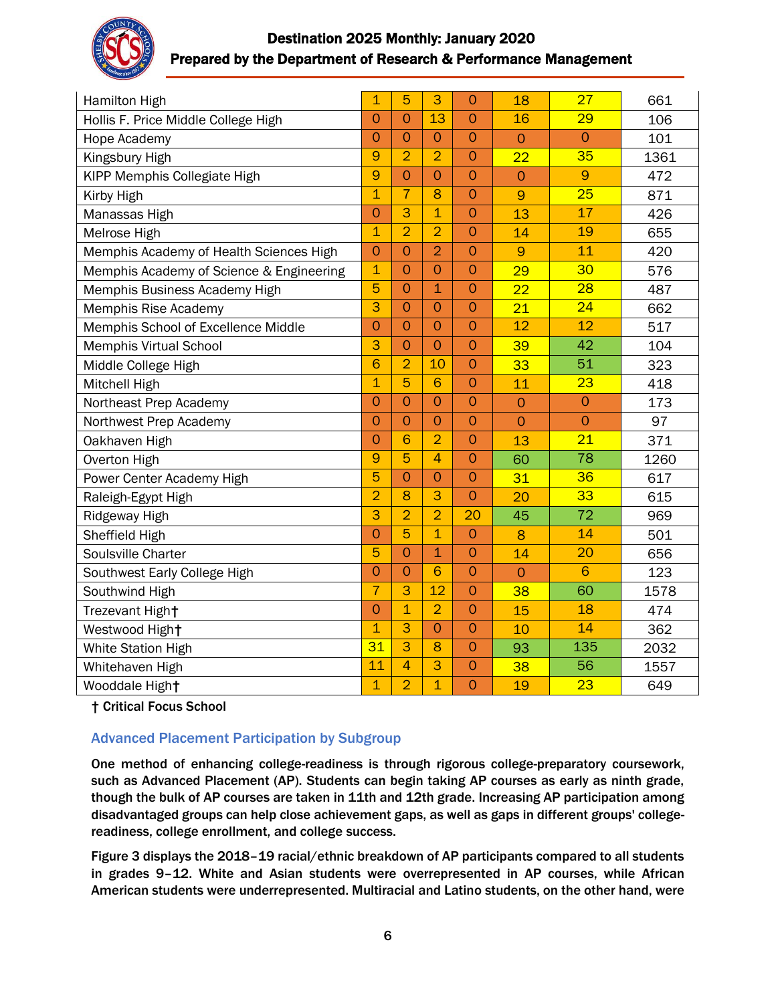

# Destination 2025 Monthly: January 2020 Prepared by the Department of Research & Performance Management

| <b>Hamilton High</b>                     | 1               | 5              | 3               | $\overline{O}$ | 18             | 27              | 661  |
|------------------------------------------|-----------------|----------------|-----------------|----------------|----------------|-----------------|------|
| Hollis F. Price Middle College High      | $\overline{O}$  | $\overline{O}$ | 13              | $\overline{O}$ | 16             | 29              | 106  |
| Hope Academy                             | $\overline{O}$  | $\overline{0}$ | $\overline{O}$  | $\overline{O}$ | $\overline{O}$ | $\overline{0}$  | 101  |
| Kingsbury High                           | 9               | $\overline{2}$ | $\overline{2}$  | $\overline{O}$ | 22             | 35              | 1361 |
| KIPP Memphis Collegiate High             | 9               | $\overline{O}$ | $\overline{O}$  | $\overline{0}$ | $\overline{0}$ | 9               | 472  |
| Kirby High                               | $\overline{1}$  | $\overline{7}$ | 8               | $\overline{O}$ | 9              | 25              | 871  |
| Manassas High                            | $\overline{O}$  | 3              | $\overline{1}$  | $\overline{O}$ | 13             | 17              | 426  |
| Melrose High                             | $\overline{1}$  | $\overline{2}$ | $\overline{2}$  | $\overline{O}$ | 14             | 19              | 655  |
| Memphis Academy of Health Sciences High  | $\overline{O}$  | $\overline{O}$ | $\overline{2}$  | $\overline{O}$ | 9              | 11              | 420  |
| Memphis Academy of Science & Engineering | $\overline{1}$  | $\overline{0}$ | $\overline{0}$  | $\overline{O}$ | 29             | 30              | 576  |
| Memphis Business Academy High            | $\overline{5}$  | $\overline{O}$ | $\overline{1}$  | $\overline{O}$ | 22             | $\overline{28}$ | 487  |
| Memphis Rise Academy                     | 3               | $\overline{O}$ | $\overline{0}$  | $\overline{O}$ | 21             | 24              | 662  |
| Memphis School of Excellence Middle      | $\overline{O}$  | $\Omega$       | $\Omega$        | $\overline{O}$ | 12             | 12              | 517  |
| <b>Memphis Virtual School</b>            | $\overline{3}$  | $\overline{O}$ | $\overline{O}$  | $\overline{O}$ | 39             | 42              | 104  |
| Middle College High                      | 6               | $\overline{2}$ | 10              | $\overline{O}$ | 33             | 51              | 323  |
| Mitchell High                            | $\overline{1}$  | 5              | 6               | $\overline{O}$ | 11             | 23              | 418  |
| Northeast Prep Academy                   | $\overline{O}$  | $\overline{O}$ | $\overline{O}$  | $\overline{O}$ | $\overline{O}$ | $\overline{O}$  | 173  |
| Northwest Prep Academy                   | $\overline{O}$  | $\overline{O}$ | $\overline{0}$  | $\overline{O}$ | $\overline{O}$ | $\overline{O}$  | 97   |
| Oakhaven High                            | $\overline{O}$  | 6              | $\overline{2}$  | $\overline{O}$ | 13             | 21              | 371  |
| Overton High                             | 9               | 5              | 4               | $\overline{O}$ | 60             | 78              | 1260 |
| Power Center Academy High                | 5               | $\overline{O}$ | $\overline{O}$  | $\overline{O}$ | 31             | 36              | 617  |
| Raleigh-Egypt High                       | $\overline{2}$  | 8              | 3               | $\overline{O}$ | 20             | 33              | 615  |
| Ridgeway High                            | 3               | $\overline{2}$ | $\overline{2}$  | 20             | 45             | 72              | 969  |
| Sheffield High                           | $\overline{O}$  | 5              | $\overline{1}$  | $\overline{O}$ | 8              | 14              | 501  |
| Soulsville Charter                       | 5               | $\overline{O}$ | $\overline{1}$  | $\overline{O}$ | 14             | 20              | 656  |
| Southwest Early College High             | $\overline{O}$  | $\overline{O}$ | 6               | $\overline{O}$ | $\overline{O}$ | $6\phantom{1}6$ | 123  |
| Southwind High                           | $\overline{7}$  | $\overline{3}$ | $\overline{12}$ | $\overline{O}$ | 38             | 60              | 1578 |
| Trezevant High+                          | $\overline{O}$  | $\overline{1}$ | $\overline{2}$  | $\overline{O}$ | 15             | 18              | 474  |
| Westwood High+                           | $\overline{1}$  | 3              | 0               | $\overline{O}$ | 10             | 14              | 362  |
| White Station High                       | $\overline{31}$ | $\overline{3}$ | 8               | $\overline{O}$ | 93             | 135             | 2032 |
| Whitehaven High                          | 11              | $\overline{4}$ | 3               | $\overline{O}$ | 38             | 56              | 1557 |
| Wooddale Hight                           | $\overline{1}$  | $\overline{2}$ | $\overline{1}$  | $\overline{O}$ | 19             | 23              | 649  |

† Critical Focus School

## Advanced Placement Participation by Subgroup

One method of enhancing college-readiness is through rigorous college-preparatory coursework, such as Advanced Placement (AP). Students can begin taking AP courses as early as ninth grade, though the bulk of AP courses are taken in 11th and 12th grade. Increasing AP participation among disadvantaged groups can help close achievement gaps, as well as gaps in different groups' collegereadiness, college enrollment, and college success.

Figure 3 displays the 2018–19 racial/ethnic breakdown of AP participants compared to all students in grades 9–12. White and Asian students were overrepresented in AP courses, while African American students were underrepresented. Multiracial and Latino students, on the other hand, were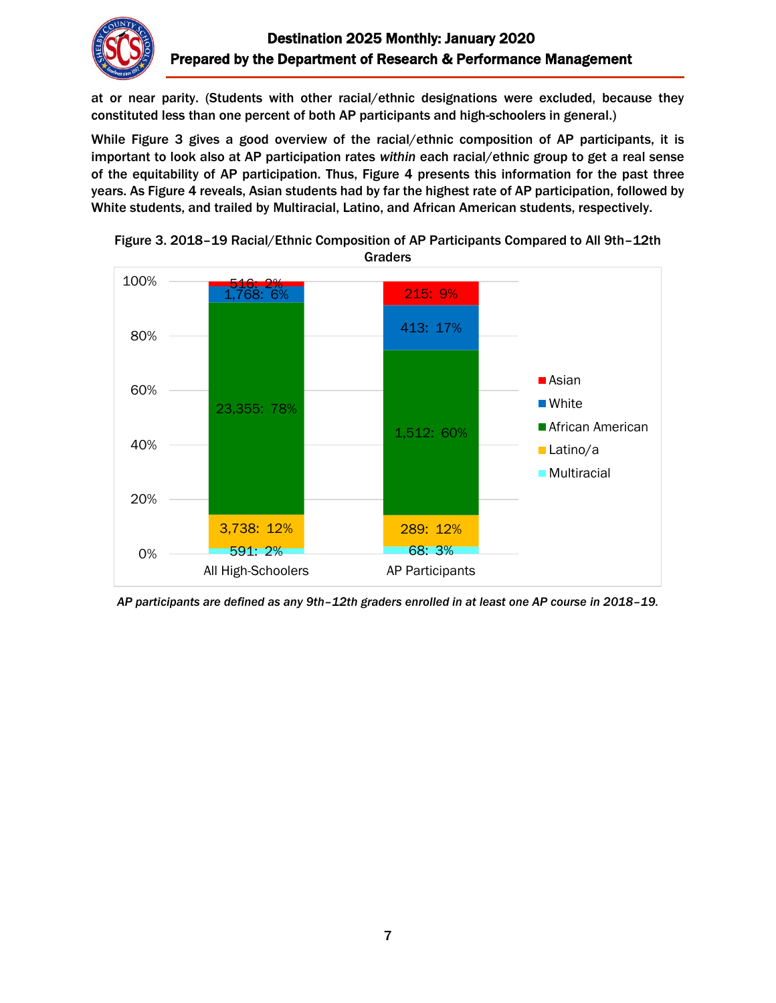

at or near parity. (Students with other racial/ethnic designations were excluded, because they constituted less than one percent of both AP participants and high-schoolers in general.)

While Figure 3 gives a good overview of the racial/ethnic composition of AP participants, it is important to look also at AP participation rates *within* each racial/ethnic group to get a real sense of the equitability of AP participation. Thus, Figure 4 presents this information for the past three years. As Figure 4 reveals, Asian students had by far the highest rate of AP participation, followed by White students, and trailed by Multiracial, Latino, and African American students, respectively.





*AP participants are defined as any 9th–12th graders enrolled in at least one AP course in 2018–19.*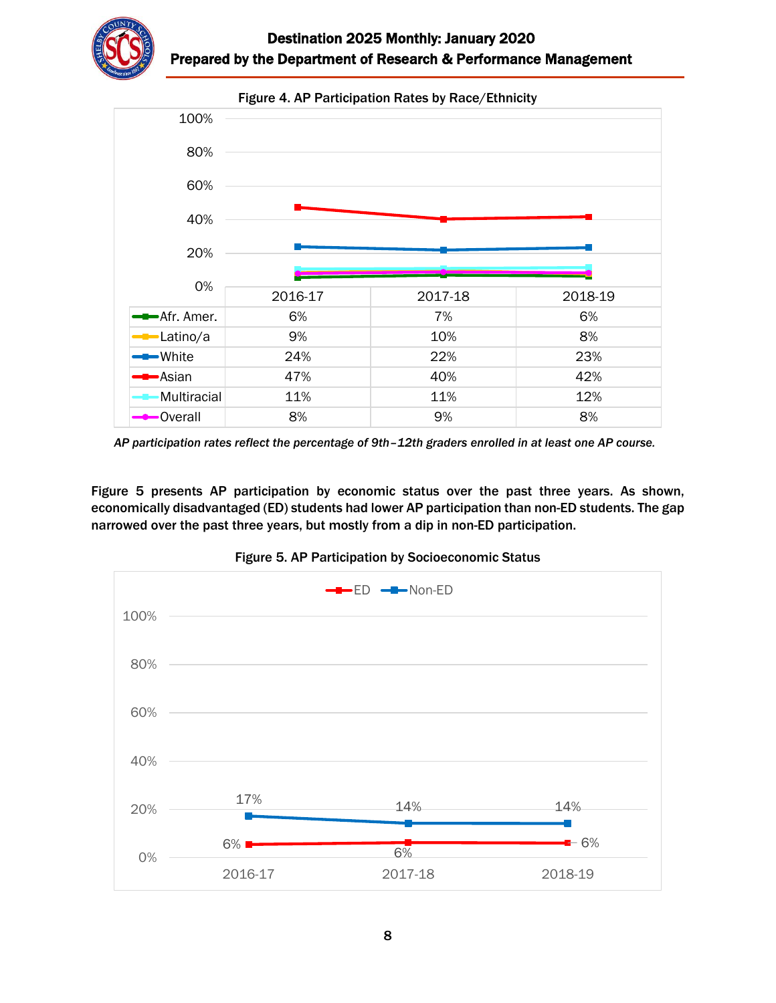



*AP participation rates reflect the percentage of 9th–12th graders enrolled in at least one AP course.*

Figure 5 presents AP participation by economic status over the past three years. As shown, economically disadvantaged (ED) students had lower AP participation than non-ED students. The gap narrowed over the past three years, but mostly from a dip in non-ED participation.



Figure 5. AP Participation by Socioeconomic Status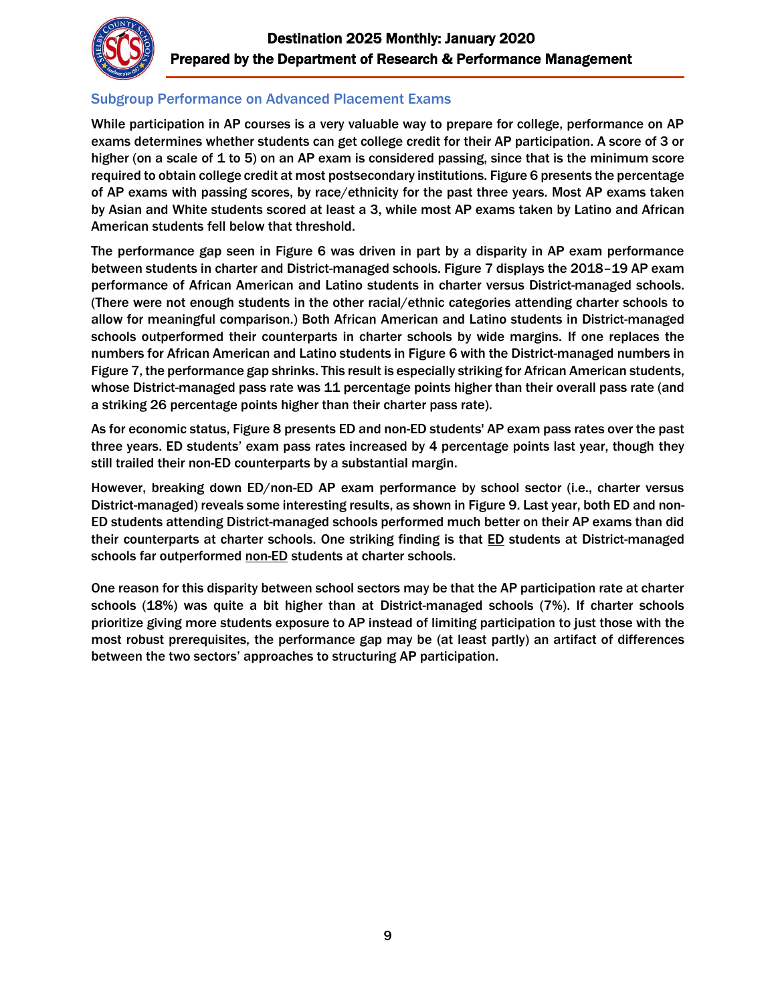

## Subgroup Performance on Advanced Placement Exams

While participation in AP courses is a very valuable way to prepare for college, performance on AP exams determines whether students can get college credit for their AP participation. A score of 3 or higher (on a scale of 1 to 5) on an AP exam is considered passing, since that is the minimum score required to obtain college credit at most postsecondary institutions. Figure 6 presents the percentage of AP exams with passing scores, by race/ethnicity for the past three years. Most AP exams taken by Asian and White students scored at least a 3, while most AP exams taken by Latino and African American students fell below that threshold.

The performance gap seen in Figure 6 was driven in part by a disparity in AP exam performance between students in charter and District-managed schools. Figure 7 displays the 2018–19 AP exam performance of African American and Latino students in charter versus District-managed schools. (There were not enough students in the other racial/ethnic categories attending charter schools to allow for meaningful comparison.) Both African American and Latino students in District-managed schools outperformed their counterparts in charter schools by wide margins. If one replaces the numbers for African American and Latino students in Figure 6 with the District-managed numbers in Figure 7, the performance gap shrinks. This result is especially striking for African American students, whose District-managed pass rate was 11 percentage points higher than their overall pass rate (and a striking 26 percentage points higher than their charter pass rate).

As for economic status, Figure 8 presents ED and non-ED students' AP exam pass rates over the past three years. ED students' exam pass rates increased by 4 percentage points last year, though they still trailed their non-ED counterparts by a substantial margin.

However, breaking down ED/non-ED AP exam performance by school sector (i.e., charter versus District-managed) reveals some interesting results, as shown in Figure 9. Last year, both ED and non-ED students attending District-managed schools performed much better on their AP exams than did their counterparts at charter schools. One striking finding is that **ED** students at District-managed schools far outperformed non-ED students at charter schools.

One reason for this disparity between school sectors may be that the AP participation rate at charter schools (18%) was quite a bit higher than at District-managed schools (7%). If charter schools prioritize giving more students exposure to AP instead of limiting participation to just those with the most robust prerequisites, the performance gap may be (at least partly) an artifact of differences between the two sectors' approaches to structuring AP participation.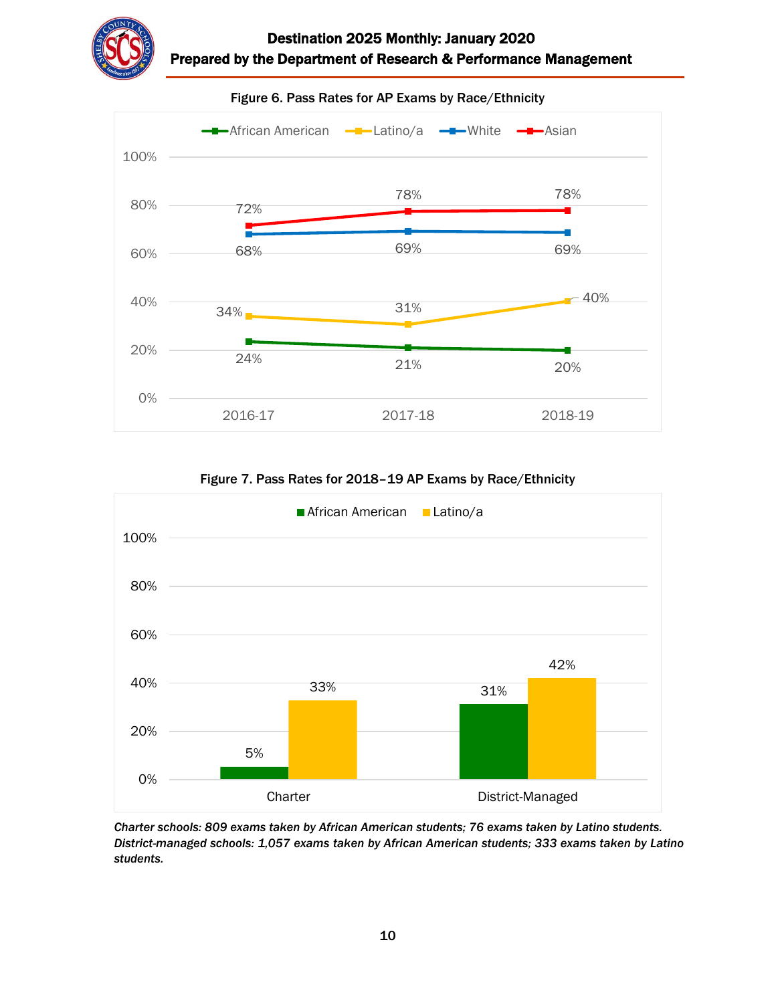



Figure 6. Pass Rates for AP Exams by Race/Ethnicity

Figure 7. Pass Rates for 2018–19 AP Exams by Race/Ethnicity



*Charter schools: 809 exams taken by African American students; 76 exams taken by Latino students. District-managed schools: 1,057 exams taken by African American students; 333 exams taken by Latino students.*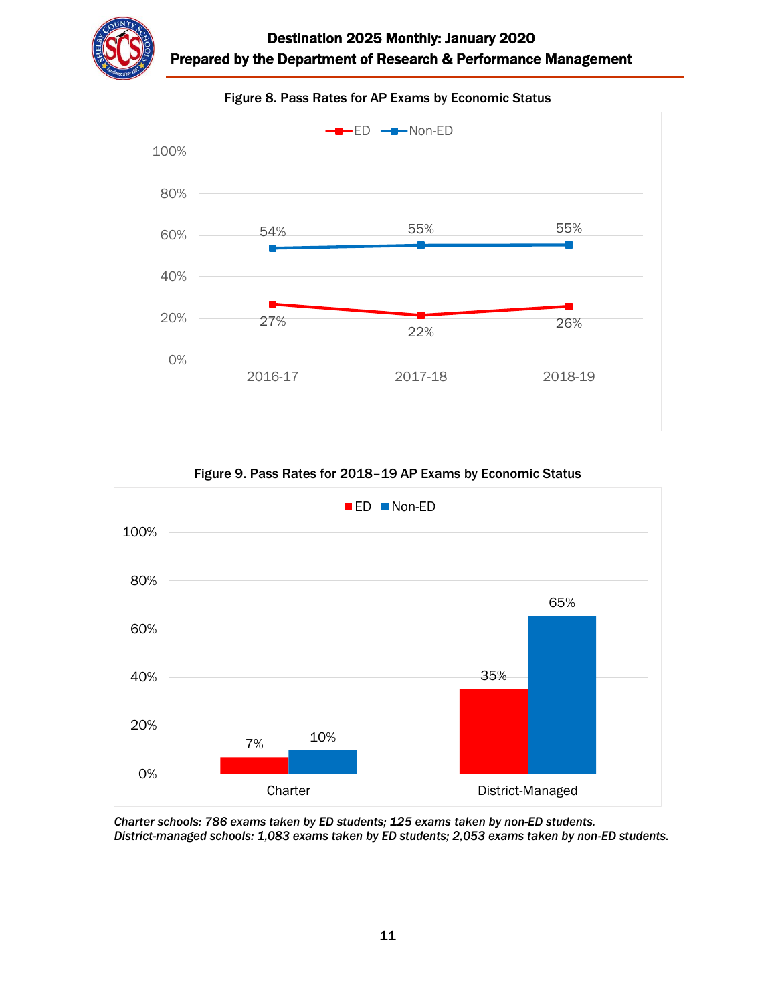





Figure 9. Pass Rates for 2018–19 AP Exams by Economic Status



*Charter schools: 786 exams taken by ED students; 125 exams taken by non-ED students. District-managed schools: 1,083 exams taken by ED students; 2,053 exams taken by non-ED students.*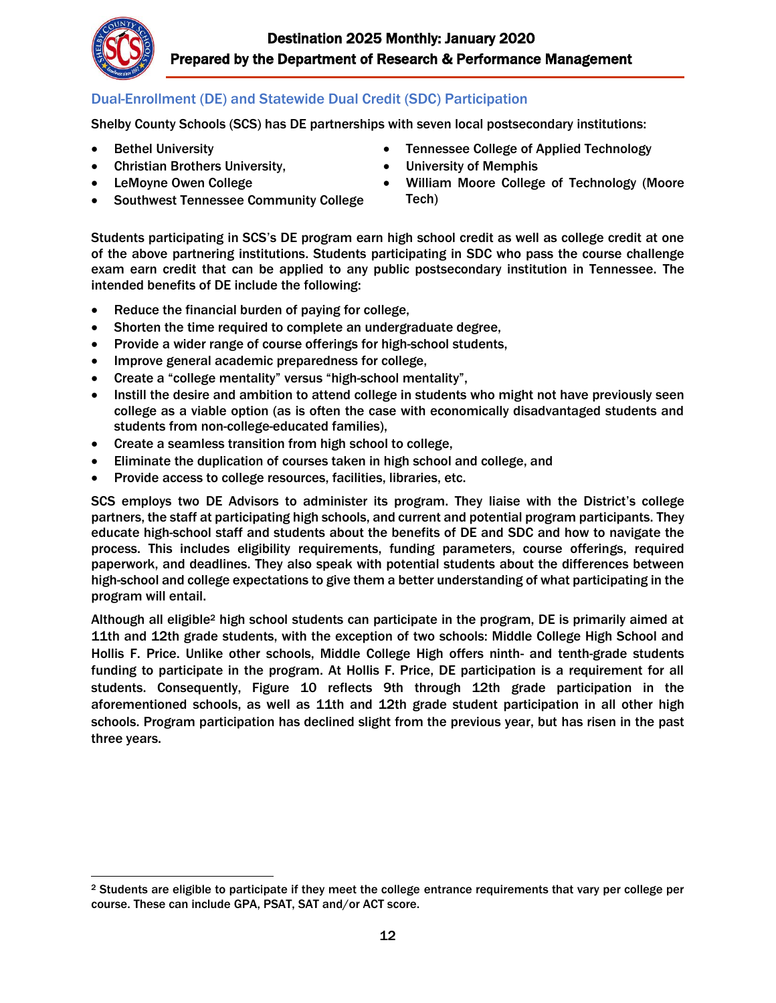

## Dual-Enrollment (DE) and Statewide Dual Credit (SDC) Participation

Shelby County Schools (SCS) has DE partnerships with seven local postsecondary institutions:

- Bethel University
- Christian Brothers University,
- LeMoyne Owen College
- Southwest Tennessee Community College
- Tennessee College of Applied Technology
- University of Memphis
- William Moore College of Technology (Moore Tech)

Students participating in SCS's DE program earn high school credit as well as college credit at one of the above partnering institutions. Students participating in SDC who pass the course challenge exam earn credit that can be applied to any public postsecondary institution in Tennessee. The intended benefits of DE include the following:

- Reduce the financial burden of paying for college,
- Shorten the time required to complete an undergraduate degree,
- Provide a wider range of course offerings for high-school students,
- Improve general academic preparedness for college,
- Create a "college mentality" versus "high-school mentality",
- Instill the desire and ambition to attend college in students who might not have previously seen college as a viable option (as is often the case with economically disadvantaged students and students from non-college-educated families),
- Create a seamless transition from high school to college,
- Eliminate the duplication of courses taken in high school and college, and
- Provide access to college resources, facilities, libraries, etc.

SCS employs two DE Advisors to administer its program. They liaise with the District's college partners, the staff at participating high schools, and current and potential program participants. They educate high-school staff and students about the benefits of DE and SDC and how to navigate the process. This includes eligibility requirements, funding parameters, course offerings, required paperwork, and deadlines. They also speak with potential students about the differences between high-school and college expectations to give them a better understanding of what participating in the program will entail.

Although all eligible<sup>2</sup> high school students can participate in the program, DE is primarily aimed at 11th and 12th grade students, with the exception of two schools: Middle College High School and Hollis F. Price. Unlike other schools, Middle College High offers ninth- and tenth-grade students funding to participate in the program. At Hollis F. Price, DE participation is a requirement for all students. Consequently, Figure 10 reflects 9th through 12th grade participation in the aforementioned schools, as well as 11th and 12th grade student participation in all other high schools. Program participation has declined slight from the previous year, but has risen in the past three years.

 $\overline{\phantom{a}}$ <sup>2</sup> Students are eligible to participate if they meet the college entrance requirements that vary per college per course. These can include GPA, PSAT, SAT and/or ACT score.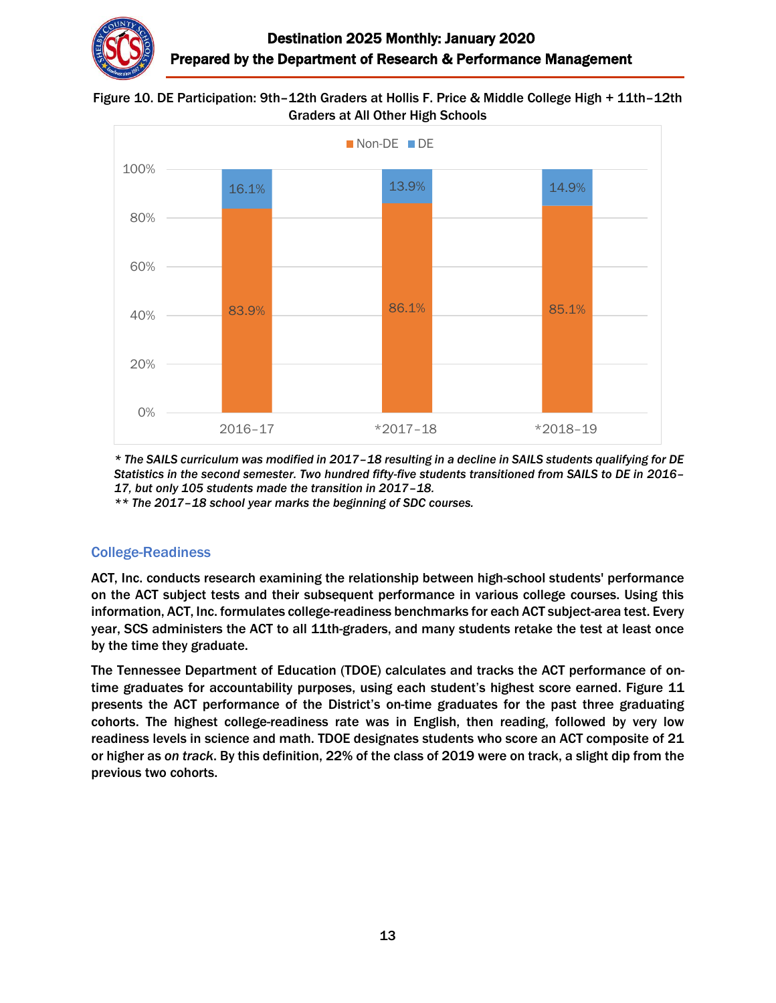

#### Figure 10. DE Participation: 9th–12th Graders at Hollis F. Price & Middle College High + 11th–12th Graders at All Other High Schools



*\* The SAILS curriculum was modified in 2017–18 resulting in a decline in SAILS students qualifying for DE Statistics in the second semester. Two hundred fifty-five students transitioned from SAILS to DE in 2016– 17, but only 105 students made the transition in 2017–18.*

*\*\* The 2017–18 school year marks the beginning of SDC courses.*

#### College-Readiness

ACT, Inc. conducts research examining the relationship between high-school students' performance on the ACT subject tests and their subsequent performance in various college courses. Using this information, ACT, Inc. formulates college-readiness benchmarks for each ACT subject-area test. Every year, SCS administers the ACT to all 11th-graders, and many students retake the test at least once by the time they graduate.

The Tennessee Department of Education (TDOE) calculates and tracks the ACT performance of ontime graduates for accountability purposes, using each student's highest score earned. Figure 11 presents the ACT performance of the District's on-time graduates for the past three graduating cohorts. The highest college-readiness rate was in English, then reading, followed by very low readiness levels in science and math. TDOE designates students who score an ACT composite of 21 or higher as *on track*. By this definition, 22% of the class of 2019 were on track, a slight dip from the previous two cohorts.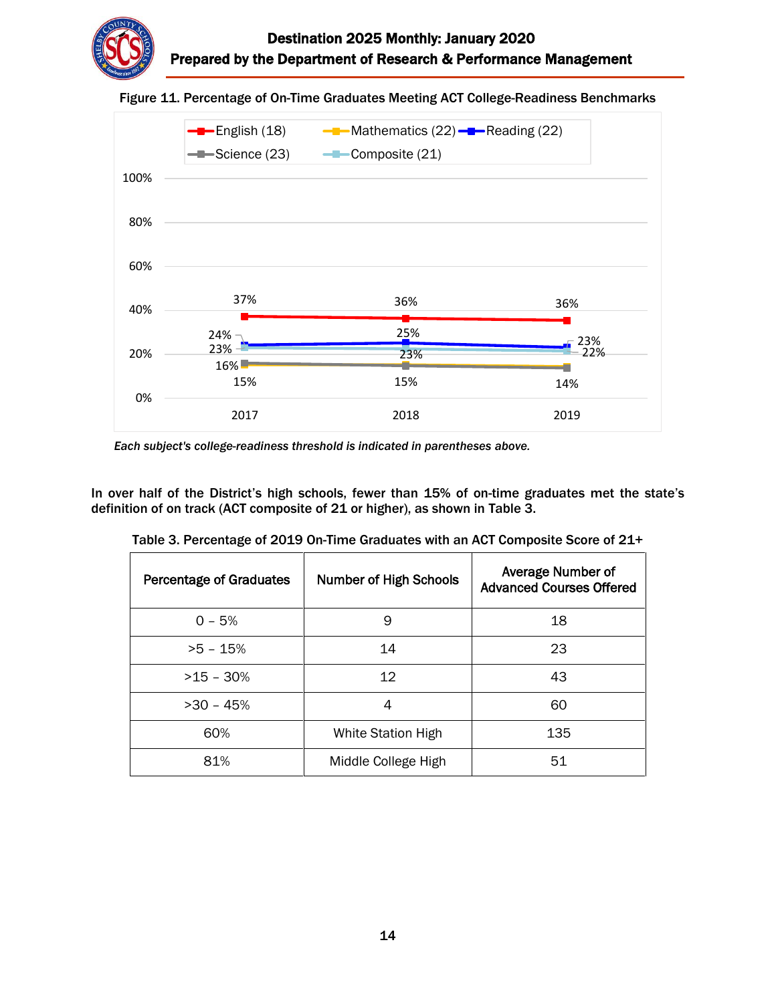

#### Figure 11. Percentage of On-Time Graduates Meeting ACT College-Readiness Benchmarks



*Each subject's college-readiness threshold is indicated in parentheses above.*

In over half of the District's high schools, fewer than 15% of on-time graduates met the state's definition of on track (ACT composite of 21 or higher), as shown in Table 3.

| <b>Percentage of Graduates</b> | <b>Number of High Schools</b> | Average Number of<br><b>Advanced Courses Offered</b> |
|--------------------------------|-------------------------------|------------------------------------------------------|
| $0 - 5%$                       | 9                             | 18                                                   |
| $>5 - 15%$                     | 14                            | 23                                                   |
| $>15 - 30%$                    | 12                            | 43                                                   |
| $>30 - 45%$                    | 4                             | 60                                                   |
| 60%                            | White Station High            | 135                                                  |
| 81%                            | Middle College High           | 51                                                   |

Table 3. Percentage of 2019 On-Time Graduates with an ACT Composite Score of 21+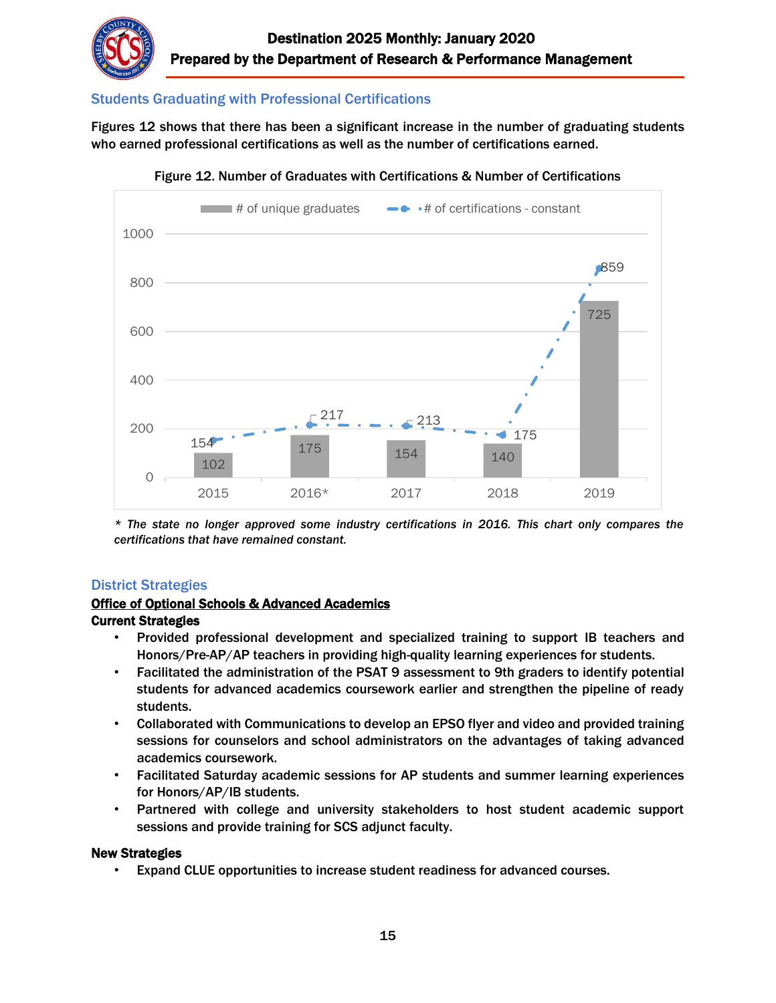

## Students Graduating with Professional Certifications

Figures 12 shows that there has been a significant increase in the number of graduating students who earned professional certifications as well as the number of certifications earned.



Figure 12. Number of Graduates with Certifications & Number of Certifications

*\* The state no longer approved some industry certifications in 2016. This chart only compares the certifications that have remained constant.*

#### District Strategies

# **Office of Optional Schools & Advanced Academics**

#### Current Strategies

- Provided professional development and specialized training to support IB teachers and Honors/Pre-AP/AP teachers in providing high-quality learning experiences for students.
- Facilitated the administration of the PSAT 9 assessment to 9th graders to identify potential students for advanced academics coursework earlier and strengthen the pipeline of ready students.
- Collaborated with Communications to develop an EPSO flyer and video and provided training sessions for counselors and school administrators on the advantages of taking advanced academics coursework.
- Facilitated Saturday academic sessions for AP students and summer learning experiences for Honors/AP/IB students.
- Partnered with college and university stakeholders to host student academic support sessions and provide training for SCS adjunct faculty.

#### New Strategies

• Expand CLUE opportunities to increase student readiness for advanced courses.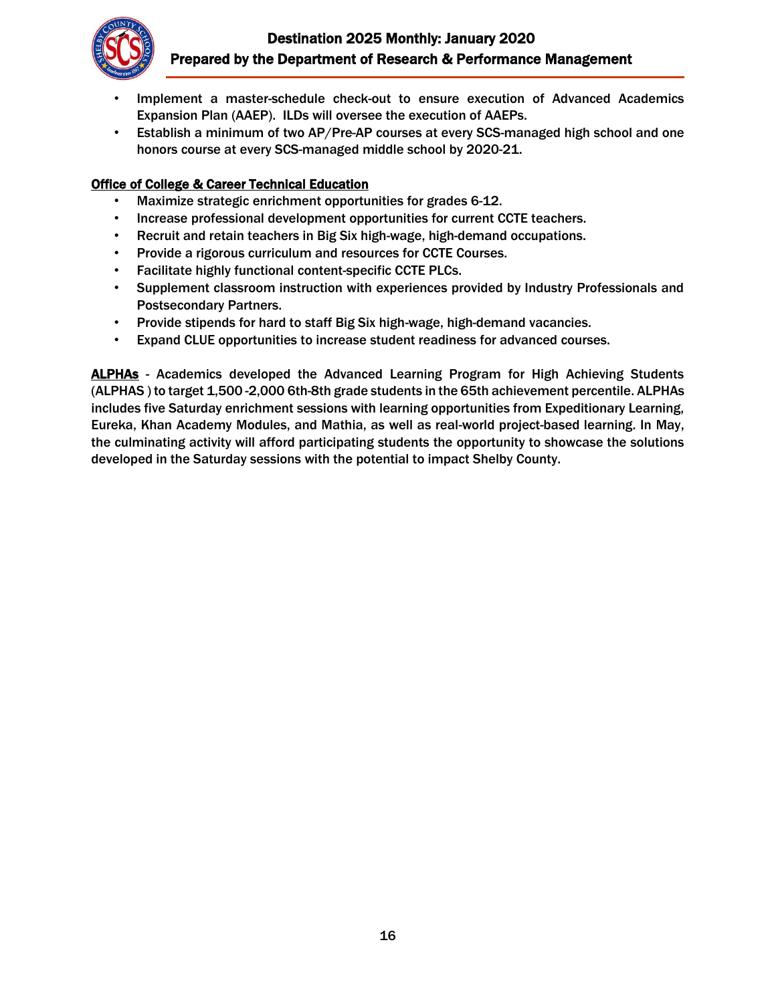# Destination 2025 Monthly: January 2020 Prepared by the Department of Research & Performance Management



- Implement a master-schedule check-out to ensure execution of Advanced Academics Expansion Plan (AAEP). ILDs will oversee the execution of AAEPs.
- Establish a minimum of two AP/Pre-AP courses at every SCS-managed high school and one honors course at every SCS-managed middle school by 2020-21.

## Office of College & Career Technical Education

- Maximize strategic enrichment opportunities for grades 6-12.
- Increase professional development opportunities for current CCTE teachers.
- Recruit and retain teachers in Big Six high-wage, high-demand occupations.
- Provide a rigorous curriculum and resources for CCTE Courses.
- Facilitate highly functional content-specific CCTE PLCs.
- Supplement classroom instruction with experiences provided by Industry Professionals and Postsecondary Partners.
- Provide stipends for hard to staff Big Six high-wage, high-demand vacancies.
- Expand CLUE opportunities to increase student readiness for advanced courses.

ALPHAs - Academics developed the Advanced Learning Program for High Achieving Students (ALPHAS ) to target 1,500 -2,000 6th-8th grade students in the 65th achievement percentile. ALPHAs includes five Saturday enrichment sessions with learning opportunities from Expeditionary Learning, Eureka, Khan Academy Modules, and Mathia, as well as real-world project-based learning. In May, the culminating activity will afford participating students the opportunity to showcase the solutions developed in the Saturday sessions with the potential to impact Shelby County.